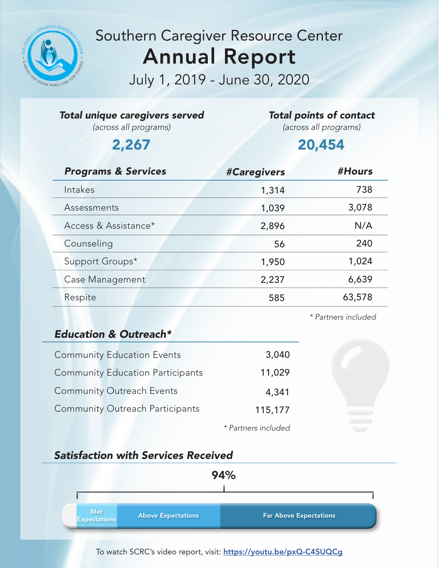

## Southern Caregiver Resource Center Annual Report

July 1, 2019 - June 30, 2020

|  |  | Total unique caregivers served |  |
|--|--|--------------------------------|--|
|--|--|--------------------------------|--|

*(across all programs)*

#### *Total points of contact*

*(across all programs)*

## 2,267 20,454

| <b>Programs &amp; Services</b> | #Caregivers | #Hours |
|--------------------------------|-------------|--------|
| Intakes                        | 1,314       | 738    |
| Assessments                    | 1,039       | 3,078  |
| Access & Assistance*           | 2,896       | N/A    |
| Counseling                     | 56          | 240    |
| Support Groups*                | 1,950       | 1,024  |
| Case Management                | 2,237       | 6,639  |
| Respite                        | 585         | 63,578 |

#### *\* Partners included*

### *Education & Outreach\**

| <b>Community Education Events</b>       | 3,040               |
|-----------------------------------------|---------------------|
| <b>Community Education Participants</b> | 11,029              |
| <b>Community Outreach Events</b>        | 4,341               |
| <b>Community Outreach Participants</b>  | 115,177             |
|                                         | * Partners included |

### *Satisfaction with Services Received*



#### To watch SCRC's video report, visit: <https://youtu.be/pxQ-C4SUQCg>